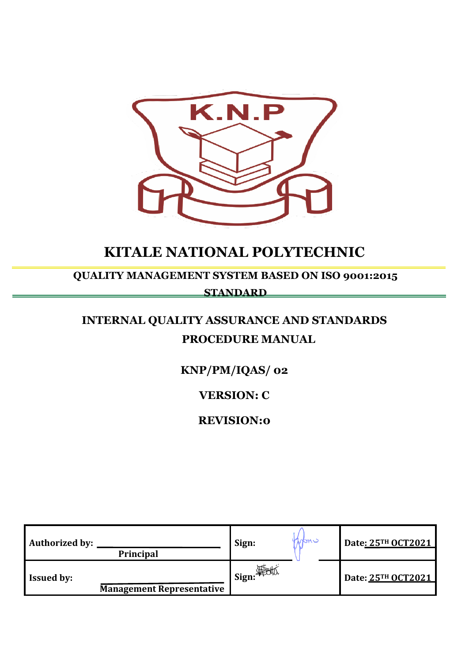

# **KITALE NATIONAL POLYTECHNIC**

## **QUALITY MANAGEMENT SYSTEM BASED ON ISO 9001:2015 STANDARD**

# **INTERNAL QUALITY ASSURANCE AND STANDARDS PROCEDURE MANUAL**

## **KNP/PM/IQAS/ 02**

**VERSION: C**

**REVISION:0**

| <b>Authorized by:</b><br><b>Principal</b>             | Iston U<br>Sign: | Date: 25TH OCT2021 |
|-------------------------------------------------------|------------------|--------------------|
| <b>Issued by:</b><br><b>Management Representative</b> | l Sign: 海动.      | Date: 25TH OCT2021 |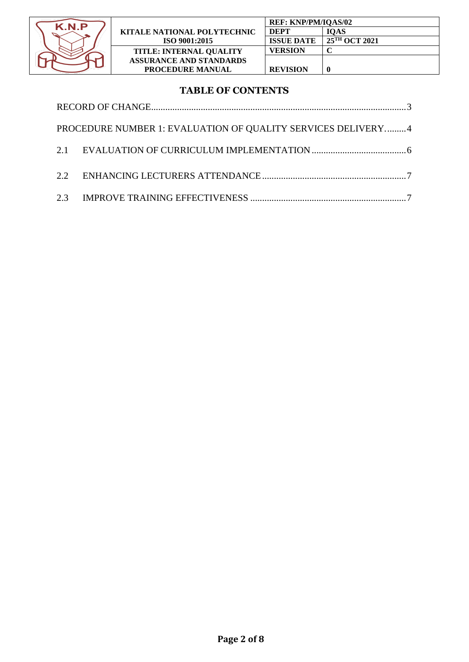

## **TABLE OF CONTENTS**

| PROCEDURE NUMBER 1: EVALUATION OF QUALITY SERVICES DELIVERY4 |  |
|--------------------------------------------------------------|--|
|                                                              |  |
|                                                              |  |
|                                                              |  |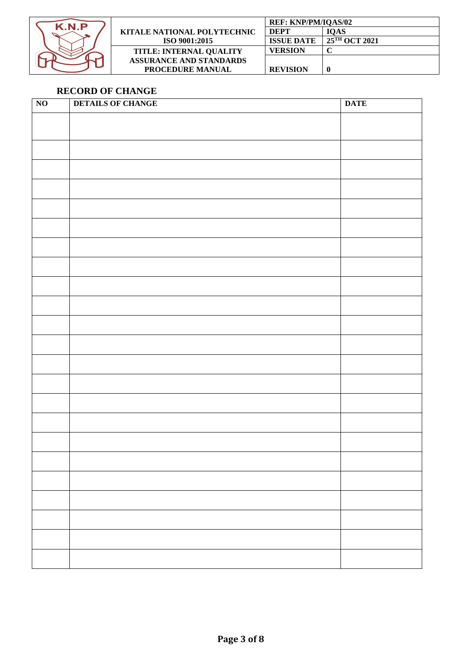

|                                | <b>REF: KNP/PM/IOAS/02</b> |                           |
|--------------------------------|----------------------------|---------------------------|
| KITALE NATIONAL POLYTECHNIC    | DEPT                       | <b>IOAS</b>               |
| ISO 9001:2015                  | <b>ISSUE DATE</b>          | $25^{\text{TH}}$ OCT 2021 |
| <b>TITLE: INTERNAL QUALITY</b> | VERSION                    |                           |
| <b>ASSURANCE AND STANDARDS</b> |                            |                           |
| <b>PROCEDURE MANUAL</b>        | <b>REVISION</b>            |                           |

## <span id="page-2-0"></span>**RECORD OF CHANGE**

| $\overline{NO}$ | <b>DETAILS OF CHANGE</b> | <b>DATE</b> |
|-----------------|--------------------------|-------------|
|                 |                          |             |
|                 |                          |             |
|                 |                          |             |
|                 |                          |             |
|                 |                          |             |
|                 |                          |             |
|                 |                          |             |
|                 |                          |             |
|                 |                          |             |
|                 |                          |             |
|                 |                          |             |
|                 |                          |             |
|                 |                          |             |
|                 |                          |             |
|                 |                          |             |
|                 |                          |             |
|                 |                          |             |
|                 |                          |             |
|                 |                          |             |
|                 |                          |             |
|                 |                          |             |
|                 |                          |             |
|                 |                          |             |
|                 |                          |             |
|                 |                          |             |
|                 |                          |             |
|                 |                          |             |
|                 |                          |             |
|                 |                          |             |
|                 |                          |             |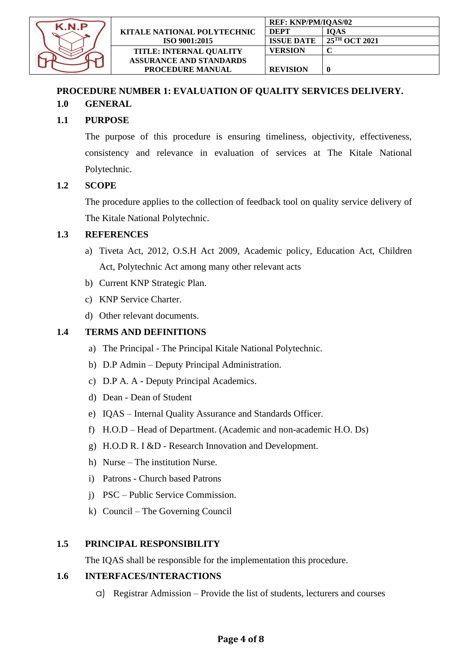

### <span id="page-3-0"></span>**PROCEDURE NUMBER 1: EVALUATION OF QUALITY SERVICES DELIVERY. 1.0 GENERAL**

## **1.1 PURPOSE**

The purpose of this procedure is ensuring timeliness, objectivity, effectiveness, consistency and relevance in evaluation of services at The Kitale National Polytechnic.

#### **1.2 SCOPE**

The procedure applies to the collection of feedback tool on quality service delivery of The Kitale National Polytechnic.

#### **1.3 REFERENCES**

- a) Tiveta Act, 2012, O.S.H Act 2009, Academic policy, Education Act, Children Act, Polytechnic Act among many other relevant acts
- b) Current KNP Strategic Plan.
- c) KNP Service Charter.
- d) Other relevant documents.

#### **1.4 TERMS AND DEFINITIONS**

- a) The Principal The Principal Kitale National Polytechnic.
- b) D.P Admin Deputy Principal Administration.
- c) D.P A. A Deputy Principal Academics.
- d) Dean Dean of Student
- e) IQAS Internal Quality Assurance and Standards Officer.
- f) H.O.D Head of Department. (Academic and non-academic H.O. Ds)
- g) H.O.D R. I &D Research Innovation and Development.
- h) Nurse The institution Nurse.
- i) Patrons Church based Patrons
- j) PSC Public Service Commission.
- k) Council The Governing Council

#### **1.5 PRINCIPAL RESPONSIBILITY**

The IQAS shall be responsible for the implementation this procedure.

#### **1.6 INTERFACES/INTERACTIONS**

a) Registrar Admission – Provide the list of students, lecturers and courses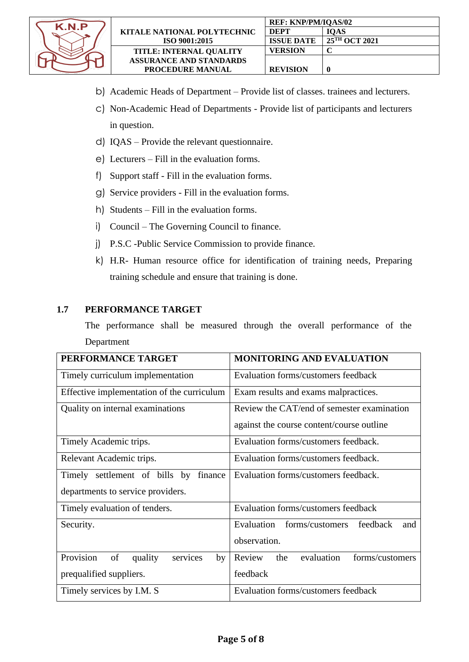

- b) Academic Heads of Department Provide list of classes. trainees and lecturers.
- c) Non-Academic Head of Departments Provide list of participants and lecturers in question.
- d) IQAS Provide the relevant questionnaire.
- e) Lecturers Fill in the evaluation forms.
- f) Support staff Fill in the evaluation forms.
- g) Service providers Fill in the evaluation forms.
- h) Students Fill in the evaluation forms.
- i) Council The Governing Council to finance.
- j) P.S.C -Public Service Commission to provide finance.
- k) H.R- Human resource office for identification of training needs, Preparing training schedule and ensure that training is done.

#### **1.7 PERFORMANCE TARGET**

The performance shall be measured through the overall performance of the Department

| PERFORMANCE TARGET                           | <b>MONITORING AND EVALUATION</b>               |  |
|----------------------------------------------|------------------------------------------------|--|
| Timely curriculum implementation             | Evaluation forms/customers feedback            |  |
| Effective implementation of the curriculum   | Exam results and exams malpractices.           |  |
| Quality on internal examinations             | Review the CAT/end of semester examination     |  |
|                                              | against the course content/course outline      |  |
| Timely Academic trips.                       | Evaluation forms/customers feedback.           |  |
| Relevant Academic trips.                     | Evaluation forms/customers feedback.           |  |
| finance<br>Timely settlement of bills by     | Evaluation forms/customers feedback.           |  |
| departments to service providers.            |                                                |  |
| Timely evaluation of tenders.                | Evaluation forms/customers feedback            |  |
| Security.                                    | Evaluation forms/customers<br>feedback<br>and  |  |
|                                              | observation.                                   |  |
| Provision<br>of<br>services<br>quality<br>by | evaluation<br>Review<br>forms/customers<br>the |  |
| prequalified suppliers.                      | feedback                                       |  |
| Timely services by I.M. S                    | Evaluation forms/customers feedback            |  |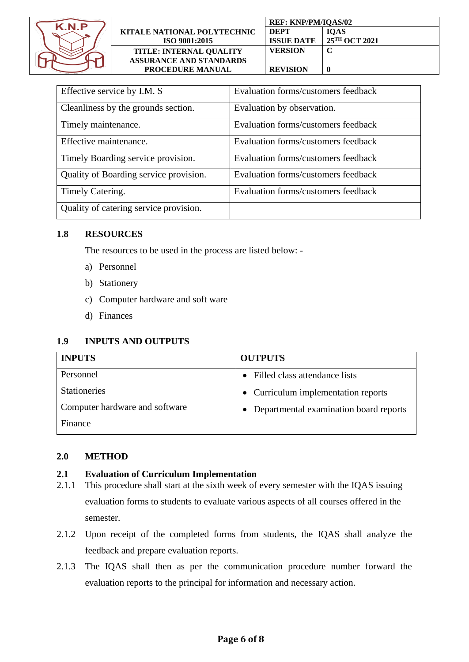

|                                    | <b>REF: KNP/PM/IQAS/02</b> |                           |
|------------------------------------|----------------------------|---------------------------|
| <b>KITALE NATIONAL POLYTECHNIC</b> | <b>DEPT</b>                | <b>IOAS</b>               |
| ISO 9001:2015                      | <b>ISSUE DATE</b>          | 25 <sup>TH</sup> OCT 2021 |
| <b>TITLE: INTERNAL QUALITY</b>     | VERSION                    |                           |
| <b>ASSURANCE AND STANDARDS</b>     |                            |                           |
| <b>PROCEDURE MANUAL</b>            | <b>REVISION</b>            |                           |

| Effective service by I.M. S            | Evaluation forms/customers feedback |
|----------------------------------------|-------------------------------------|
| Cleanliness by the grounds section.    | Evaluation by observation.          |
| Timely maintenance.                    | Evaluation forms/customers feedback |
| Effective maintenance.                 | Evaluation forms/customers feedback |
| Timely Boarding service provision.     | Evaluation forms/customers feedback |
| Quality of Boarding service provision. | Evaluation forms/customers feedback |
| Timely Catering.                       | Evaluation forms/customers feedback |
| Quality of catering service provision. |                                     |

#### **1.8 RESOURCES**

The resources to be used in the process are listed below: -

- a) Personnel
- b) Stationery
- c) Computer hardware and soft ware
- d) Finances

#### **1.9 INPUTS AND OUTPUTS**

| <b>INPUTS</b>                  | <b>OUTPUTS</b>                           |
|--------------------------------|------------------------------------------|
| Personnel                      | • Filled class attendance lists          |
| <b>Stationeries</b>            | • Curriculum implementation reports      |
| Computer hardware and software | • Departmental examination board reports |
| Finance                        |                                          |

#### **2.0 METHOD**

#### <span id="page-5-0"></span>**2.1 Evaluation of Curriculum Implementation**

- 2.1.1 This procedure shall start at the sixth week of every semester with the IQAS issuing evaluation forms to students to evaluate various aspects of all courses offered in the semester.
- 2.1.2 Upon receipt of the completed forms from students, the IQAS shall analyze the feedback and prepare evaluation reports.
- 2.1.3 The IQAS shall then as per the communication procedure number forward the evaluation reports to the principal for information and necessary action.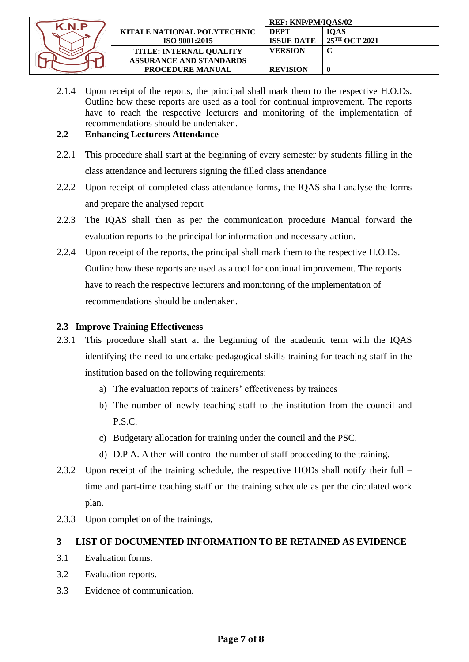

|                                    | <b>REF: KNP/PM/IOAS/02</b> |                           |
|------------------------------------|----------------------------|---------------------------|
| <b>KITALE NATIONAL POLYTECHNIC</b> | <b>DEPT</b>                | <b>IOAS</b>               |
| <b>ISO 9001:2015</b>               | <b>ISSUE DATE</b>          | $25^{\text{TH}}$ OCT 2021 |
| <b>TITLE: INTERNAL OUALITY</b>     | VERSION                    |                           |
| <b>ASSURANCE AND STANDARDS</b>     |                            |                           |
| <b>PROCEDURE MANUAL</b>            | <b>REVISION</b>            |                           |

2.1.4 Upon receipt of the reports, the principal shall mark them to the respective H.O.Ds. Outline how these reports are used as a tool for continual improvement. The reports have to reach the respective lecturers and monitoring of the implementation of recommendations should be undertaken.

#### <span id="page-6-0"></span>**2.2 Enhancing Lecturers Attendance**

- 2.2.1 This procedure shall start at the beginning of every semester by students filling in the class attendance and lecturers signing the filled class attendance
- 2.2.2 Upon receipt of completed class attendance forms, the IQAS shall analyse the forms and prepare the analysed report
- 2.2.3 The IQAS shall then as per the communication procedure Manual forward the evaluation reports to the principal for information and necessary action.
- 2.2.4 Upon receipt of the reports, the principal shall mark them to the respective H.O.Ds. Outline how these reports are used as a tool for continual improvement. The reports have to reach the respective lecturers and monitoring of the implementation of recommendations should be undertaken.

## <span id="page-6-1"></span>**2.3 Improve Training Effectiveness**

- 2.3.1 This procedure shall start at the beginning of the academic term with the IQAS identifying the need to undertake pedagogical skills training for teaching staff in the institution based on the following requirements:
	- a) The evaluation reports of trainers' effectiveness by trainees
	- b) The number of newly teaching staff to the institution from the council and P.S.C.
	- c) Budgetary allocation for training under the council and the PSC.
	- d) D.P A. A then will control the number of staff proceeding to the training.
- 2.3.2 Upon receipt of the training schedule, the respective HODs shall notify their full time and part-time teaching staff on the training schedule as per the circulated work plan.
- 2.3.3 Upon completion of the trainings,

### **3 LIST OF DOCUMENTED INFORMATION TO BE RETAINED AS EVIDENCE**

- 3.1 Evaluation forms.
- 3.2 Evaluation reports.
- 3.3 Evidence of communication.